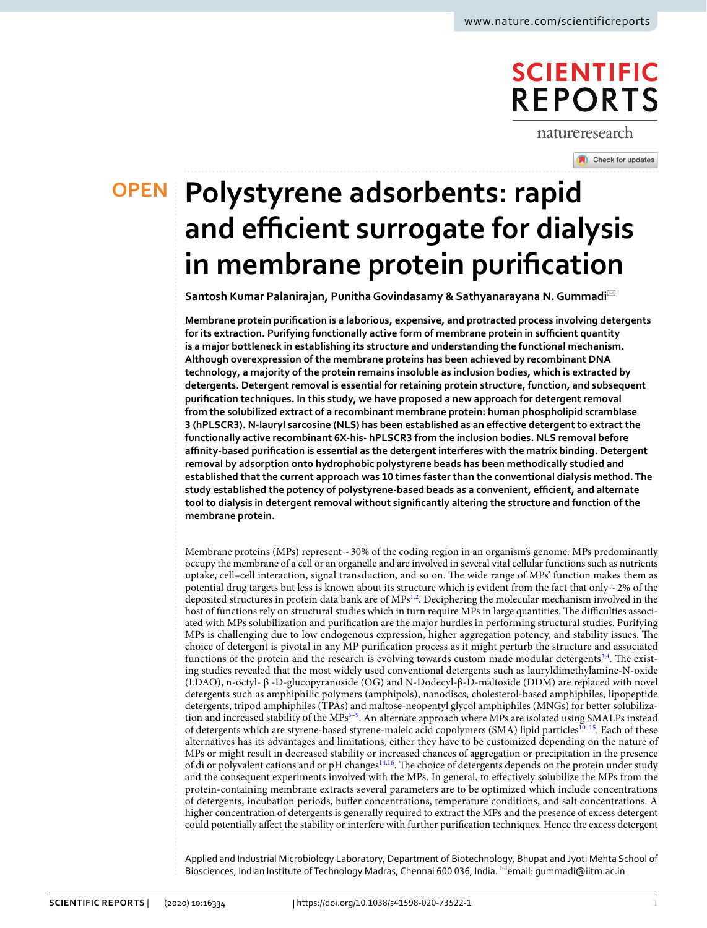# **SCIENTIFIC REPORTS**

natureresearch

Check for updates

**polystyrene adsorbents: rapid open and efficient surrogate for dialysis in membrane protein purification**

**Santosh Kumar Palanirajan, Punitha Govindasamy & Sathyanarayana N. Gummadi**\*

**Membrane protein purification is a laborious, expensive, and protracted process involving detergents for its extraction. Purifying functionally active form of membrane protein in sufficient quantity is a major bottleneck in establishing its structure and understanding the functional mechanism. Although overexpression of the membrane proteins has been achieved by recombinant DNA technology, a majority of the protein remains insoluble as inclusion bodies, which is extracted by detergents. Detergent removal is essential for retaining protein structure, function, and subsequent purification techniques. In this study, we have proposed a new approach for detergent removal from the solubilized extract of a recombinant membrane protein: human phospholipid scramblase 3 (hPLSCR3). N-lauryl sarcosine (NLS) has been established as an effective detergent to extract the functionally active recombinant 6X-his- hPLSCR3 from the inclusion bodies. NLS removal before affinity-based purification is essential as the detergent interferes with the matrix binding. Detergent removal by adsorption onto hydrophobic polystyrene beads has been methodically studied and established that the current approach was 10 times faster than the conventional dialysis method. The study established the potency of polystyrene-based beads as a convenient, efficient, and alternate tool to dialysis in detergent removal without significantly altering the structure and function of the membrane protein.**

Membrane proteins (MPs) represent ~ 30% of the coding region in an organism's genome. MPs predominantly occupy the membrane of a cell or an organelle and are involved in several vital cellular functions such as nutrients uptake, cell–cell interaction, signal transduction, and so on. The wide range of MPs' function makes them as potential drug targets but less is known about its structure which is evident from the fact that only  $\sim$  2% of the deposited structures in protein data bank are of MPs<sup>[1,](#page-7-0)[2](#page-7-1)</sup>. Deciphering the molecular mechanism involved in the host of functions rely on structural studies which in turn require MPs in large quantities. The difficulties associated with MPs solubilization and purification are the major hurdles in performing structural studies. Purifying MPs is challenging due to low endogenous expression, higher aggregation potency, and stability issues. The choice of detergent is pivotal in any MP purification process as it might perturb the structure and associated functions of the protein and the research is evolving towards custom made modular detergents<sup>[3](#page-7-2),[4](#page-7-3)</sup>. The existing studies revealed that the most widely used conventional detergents such as lauryldimethylamine-N-oxide (LDAO), n-octyl- β -D-glucopyranoside (OG) and N-Dodecyl-β-D-maltoside (DDM) are replaced with novel detergents such as amphiphilic polymers (amphipols), nanodiscs, cholesterol-based amphiphiles, lipopeptide detergents, tripod amphiphiles (TPAs) and maltose-neopentyl glycol amphiphiles (MNGs) for better solubiliza-tion and increased stability of the MPs<sup>[5](#page-7-4)-9</sup>. An alternate approach where MPs are isolated using SMALPs instead of detergents which are styrene-based styrene-maleic acid copolymers (SMA) lipid particles<sup>[10](#page-7-6)[–15](#page-7-7)</sup>. Each of these alternatives has its advantages and limitations, either they have to be customized depending on the nature of MPs or might result in decreased stability or increased chances of aggregation or precipitation in the presence of di or polyvalent cations and or pH changes[14](#page-7-8)[,16](#page-7-9). The choice of detergents depends on the protein under study and the consequent experiments involved with the MPs. In general, to effectively solubilize the MPs from the protein-containing membrane extracts several parameters are to be optimized which include concentrations of detergents, incubation periods, buffer concentrations, temperature conditions, and salt concentrations. A higher concentration of detergents is generally required to extract the MPs and the presence of excess detergent could potentially affect the stability or interfere with further purification techniques. Hence the excess detergent

Applied and Industrial Microbiology Laboratory, Department of Biotechnology, Bhupat and Jyoti Mehta School of Biosciences, Indian Institute of Technology Madras, Chennai 600 036, India. <sup>[2]</sup>email: gummadi@iitm.ac.in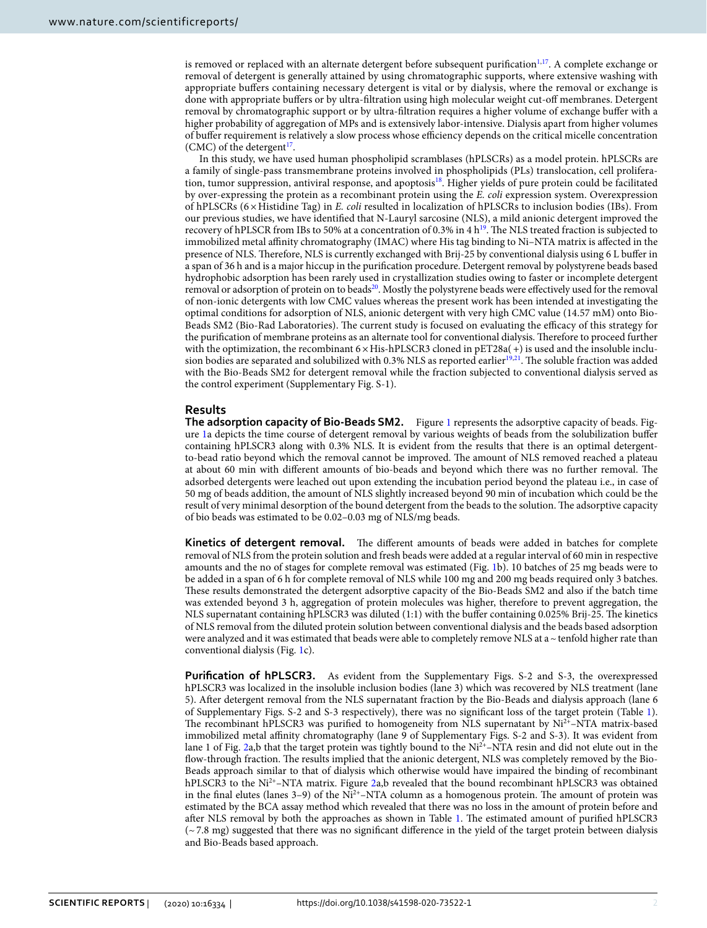is removed or replaced with an alternate detergent before subsequent purification<sup>[1](#page-7-0),[17](#page-7-10)</sup>. A complete exchange or removal of detergent is generally attained by using chromatographic supports, where extensive washing with appropriate buffers containing necessary detergent is vital or by dialysis, where the removal or exchange is done with appropriate buffers or by ultra-filtration using high molecular weight cut-off membranes. Detergent removal by chromatographic support or by ultra-filtration requires a higher volume of exchange buffer with a higher probability of aggregation of MPs and is extensively labor-intensive. Dialysis apart from higher volumes of buffer requirement is relatively a slow process whose efficiency depends on the critical micelle concentration  $(CMC)$  of the detergent<sup>[17](#page-7-10)</sup>.

In this study, we have used human phospholipid scramblases (hPLSCRs) as a model protein. hPLSCRs are a family of single-pass transmembrane proteins involved in phospholipids (PLs) translocation, cell prolifera-tion, tumor suppression, antiviral response, and apoptosis<sup>[18](#page-7-11)</sup>. Higher yields of pure protein could be facilitated by over-expressing the protein as a recombinant protein using the E. coli expression system. Overexpression of hPLSCRs (6 × Histidine Tag) in E. coli resulted in localization of hPLSCRs to inclusion bodies (IBs). From our previous studies, we have identified that N-Lauryl sarcosine (NLS), a mild anionic detergent improved the recovery of hPLSCR from IBs to 50% at a concentration of 0.3% in 4  $h^{19}$  $h^{19}$  $h^{19}$ . The NLS treated fraction is subjected to immobilized metal affinity chromatography (IMAC) where His tag binding to Ni–NTA matrix is affected in the presence of NLS. Therefore, NLS is currently exchanged with Brij-25 by conventional dialysis using 6 L buffer in a span of 36 h and is a major hiccup in the purification procedure. Detergent removal by polystyrene beads based hydrophobic adsorption has been rarely used in crystallization studies owing to faster or incomplete detergent removal or adsorption of protein on to beads<sup>[20](#page-7-13)</sup>. Mostly the polystyrene beads were effectively used for the removal of non-ionic detergents with low CMC values whereas the present work has been intended at investigating the optimal conditions for adsorption of NLS, anionic detergent with very high CMC value (14.57 mM) onto Bio-Beads SM2 (Bio-Rad Laboratories). The current study is focused on evaluating the efficacy of this strategy for the purification of membrane proteins as an alternate tool for conventional dialysis. Therefore to proceed further with the optimization, the recombinant  $6 \times His-hPLSCR3$  cloned in  $pET28a(+)$  is used and the insoluble inclu-sion bodies are separated and solubilized with 0.3% NLS as reported earlier<sup>[19,](#page-7-12)[21](#page-7-14)</sup>. The soluble fraction was added with the Bio-Beads SM2 for detergent removal while the fraction subjected to conventional dialysis served as the control experiment (Supplementary Fig. S-1).

## **Results**

**The adsorption capacity of Bio-Beads SM2.**  Figure [1](#page-2-0) represents the adsorptive capacity of beads. Figure [1a](#page-2-0) depicts the time course of detergent removal by various weights of beads from the solubilization buffer containing hPLSCR3 along with 0.3% NLS. It is evident from the results that there is an optimal detergentto-bead ratio beyond which the removal cannot be improved. The amount of NLS removed reached a plateau at about 60 min with different amounts of bio-beads and beyond which there was no further removal. The adsorbed detergents were leached out upon extending the incubation period beyond the plateau i.e., in case of 50 mg of beads addition, the amount of NLS slightly increased beyond 90 min of incubation which could be the result of very minimal desorption of the bound detergent from the beads to the solution. The adsorptive capacity of bio beads was estimated to be 0.02–0.03 mg of NLS/mg beads.

**Kinetics of detergent removal.**  The different amounts of beads were added in batches for complete removal of NLS from the protein solution and fresh beads were added at a regular interval of 60 min in respective amounts and the no of stages for complete removal was estimated (Fig. [1b](#page-2-0)). 10 batches of 25 mg beads were to be added in a span of 6 h for complete removal of NLS while 100 mg and 200 mg beads required only 3 batches. These results demonstrated the detergent adsorptive capacity of the Bio-Beads SM2 and also if the batch time was extended beyond 3 h, aggregation of protein molecules was higher, therefore to prevent aggregation, the NLS supernatant containing hPLSCR3 was diluted (1:1) with the buffer containing 0.025% Brij-25. The kinetics of NLS removal from the diluted protein solution between conventional dialysis and the beads based adsorption were analyzed and it was estimated that beads were able to completely remove NLS at a  $\sim$  tenfold higher rate than conventional dialysis (Fig. [1c](#page-2-0)).

**Purification of hPLSCR3.** As evident from the Supplementary Figs. S-2 and S-3, the overexpressed hPLSCR3 was localized in the insoluble inclusion bodies (lane 3) which was recovered by NLS treatment (lane 5). After detergent removal from the NLS supernatant fraction by the Bio-Beads and dialysis approach (lane 6 of Supplementary Figs. S-2 and S-3 respectively), there was no significant loss of the target protein (Table [1](#page-2-1)). The recombinant hPLSCR3 was purified to homogeneity from NLS supernatant by  $Ni<sup>2+</sup>-NTA$  matrix-based immobilized metal affinity chromatography (lane 9 of Supplementary Figs. S-2 and S-3). It was evident from lane 1 of Fig. [2](#page-3-0)a,b that the target protein was tightly bound to the Ni<sup>2+</sup>–NTA resin and did not elute out in the flow-through fraction. The results implied that the anionic detergent, NLS was completely removed by the Bio-Beads approach similar to that of dialysis which otherwise would have impaired the binding of recombinant hPLSCR3 to the Ni<sup>2+</sup>–NTA matrix. Figure [2a](#page-3-0),b revealed that the bound recombinant hPLSCR3 was obtained in the final elutes (lanes  $3-9$ ) of the Ni<sup>2+</sup>–NTA column as a homogenous protein. The amount of protein was estimated by the BCA assay method which revealed that there was no loss in the amount of protein before and after NLS removal by both the approaches as shown in Table [1.](#page-2-1) The estimated amount of purified hPLSCR3 (~ 7.8 mg) suggested that there was no significant difference in the yield of the target protein between dialysis and Bio-Beads based approach.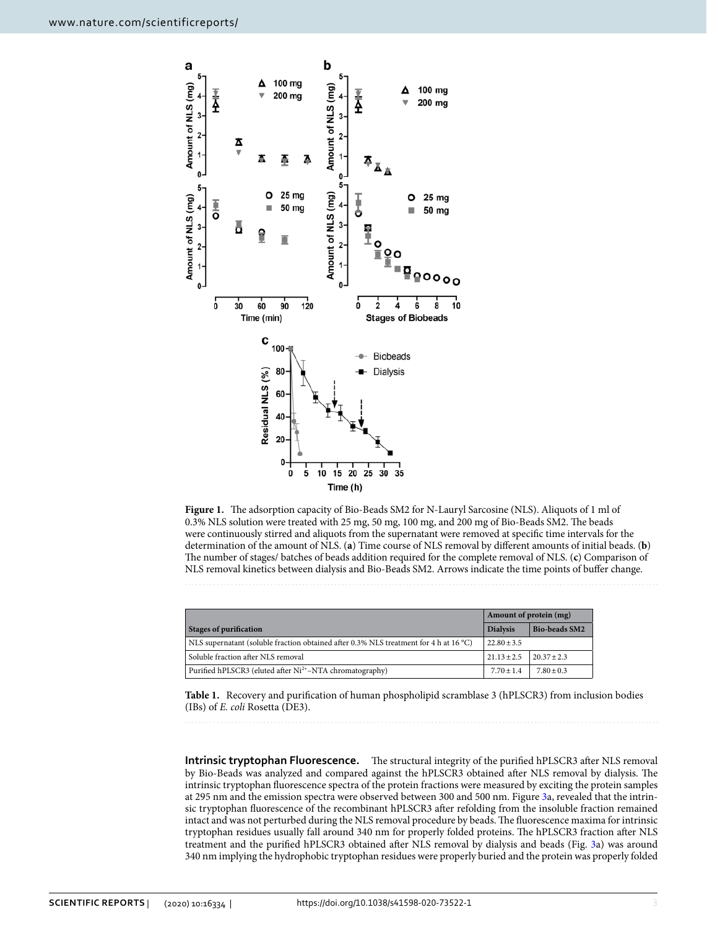

<span id="page-2-0"></span>**Figure 1.** The adsorption capacity of Bio-Beads SM2 for N-Lauryl Sarcosine (NLS). Aliquots of 1 ml of 0.3% NLS solution were treated with 25 mg, 50 mg, 100 mg, and 200 mg of Bio-Beads SM2. The beads were continuously stirred and aliquots from the supernatant were removed at specific time intervals for the determination of the amount of NLS. (**a**) Time course of NLS removal by different amounts of initial beads. (**b**) The number of stages/ batches of beads addition required for the complete removal of NLS. (**c**) Comparison of NLS removal kinetics between dialysis and Bio-Beads SM2. Arrows indicate the time points of buffer change.

|                                                                                       | Amount of protein (mg) |                      |
|---------------------------------------------------------------------------------------|------------------------|----------------------|
| <b>Stages of purification</b>                                                         | <b>Dialysis</b>        | <b>Bio-beads SM2</b> |
| NLS supernatant (soluble fraction obtained after 0.3% NLS treatment for 4 h at 16 °C) | $22.80 \pm 3.5$        |                      |
| Soluble fraction after NLS removal                                                    | $21.13 + 2.5$          | $20.37 + 2.3$        |
| Purified hPLSCR3 (eluted after Ni <sup>2+</sup> -NTA chromatography)                  | $7.70 + 1.4$           | $7.80 + 0.3$         |

<span id="page-2-1"></span>**Table 1.** Recovery and purification of human phospholipid scramblase 3 (hPLSCR3) from inclusion bodies (IBs) of E. coli Rosetta (DE3).

**Intrinsic tryptophan Fluorescence.**  The structural integrity of the purified hPLSCR3 after NLS removal by Bio-Beads was analyzed and compared against the hPLSCR3 obtained after NLS removal by dialysis. The intrinsic tryptophan fluorescence spectra of the protein fractions were measured by exciting the protein samples at 295 nm and the emission spectra were observed between 300 and 500 nm. Figure [3a](#page-3-1), revealed that the intrinsic tryptophan fluorescence of the recombinant hPLSCR3 after refolding from the insoluble fraction remained intact and was not perturbed during the NLS removal procedure by beads. The fluorescence maxima for intrinsic tryptophan residues usually fall around 340 nm for properly folded proteins. The hPLSCR3 fraction after NLS treatment and the purified hPLSCR3 obtained after NLS removal by dialysis and beads (Fig. [3](#page-3-1)a) was around 340 nm implying the hydrophobic tryptophan residues were properly buried and the protein was properly folded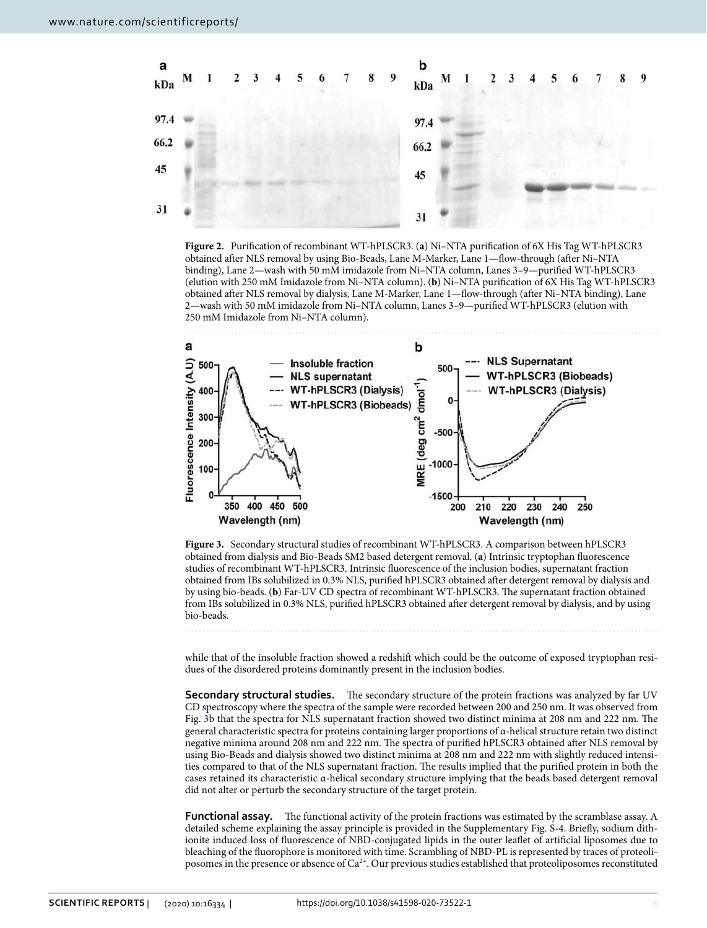

<span id="page-3-0"></span>**Figure 2.** Purification of recombinant WT-hPLSCR3. (**a**) Ni–NTA purification of 6X His Tag WT-hPLSCR3 obtained after NLS removal by using Bio-Beads, Lane M-Marker, Lane 1—flow-through (after Ni–NTA binding), Lane 2—wash with 50 mM imidazole from Ni–NTA column, Lanes 3–9—purified WT-hPLSCR3 (elution with 250 mM Imidazole from Ni–NTA column). (**b**) Ni–NTA purification of 6X His Tag WT-hPLSCR3 obtained after NLS removal by dialysis, Lane M-Marker, Lane 1—flow-through (after Ni–NTA binding), Lane 2—wash with 50 mM imidazole from Ni–NTA column, Lanes 3–9—purified WT-hPLSCR3 (elution with 250 mM Imidazole from Ni–NTA column).



<span id="page-3-1"></span>**Figure 3.** Secondary structural studies of recombinant WT-hPLSCR3. A comparison between hPLSCR3 obtained from dialysis and Bio-Beads SM2 based detergent removal. (**a**) Intrinsic tryptophan fluorescence studies of recombinant WT-hPLSCR3. Intrinsic fluorescence of the inclusion bodies, supernatant fraction obtained from IBs solubilized in 0.3% NLS, purified hPLSCR3 obtained after detergent removal by dialysis and by using bio-beads. (**b**) Far-UV CD spectra of recombinant WT-hPLSCR3. The supernatant fraction obtained from IBs solubilized in 0.3% NLS, purified hPLSCR3 obtained after detergent removal by dialysis, and by using bio-beads.

while that of the insoluble fraction showed a redshift which could be the outcome of exposed tryptophan residues of the disordered proteins dominantly present in the inclusion bodies.

**Secondary structural studies.**  The secondary structure of the protein fractions was analyzed by far UV CD spectroscopy where the spectra of the sample were recorded between 200 and 250 nm. It was observed from Fig. [3](#page-3-1)b that the spectra for NLS supernatant fraction showed two distinct minima at 208 nm and 222 nm. The general characteristic spectra for proteins containing larger proportions of α-helical structure retain two distinct negative minima around 208 nm and 222 nm. The spectra of purified hPLSCR3 obtained after NLS removal by using Bio-Beads and dialysis showed two distinct minima at 208 nm and 222 nm with slightly reduced intensities compared to that of the NLS supernatant fraction. The results implied that the purified protein in both the cases retained its characteristic α-helical secondary structure implying that the beads based detergent removal did not alter or perturb the secondary structure of the target protein.

**Functional assay.**  The functional activity of the protein fractions was estimated by the scramblase assay. A detailed scheme explaining the assay principle is provided in the Supplementary Fig. S-4. Briefly, sodium dithionite induced loss of fluorescence of NBD-conjugated lipids in the outer leaflet of artificial liposomes due to bleaching of the fluorophore is monitored with time. Scrambling of NBD-PL is represented by traces of proteoliposomes in the presence or absence of Ca2+. Our previous studies established that proteoliposomes reconstituted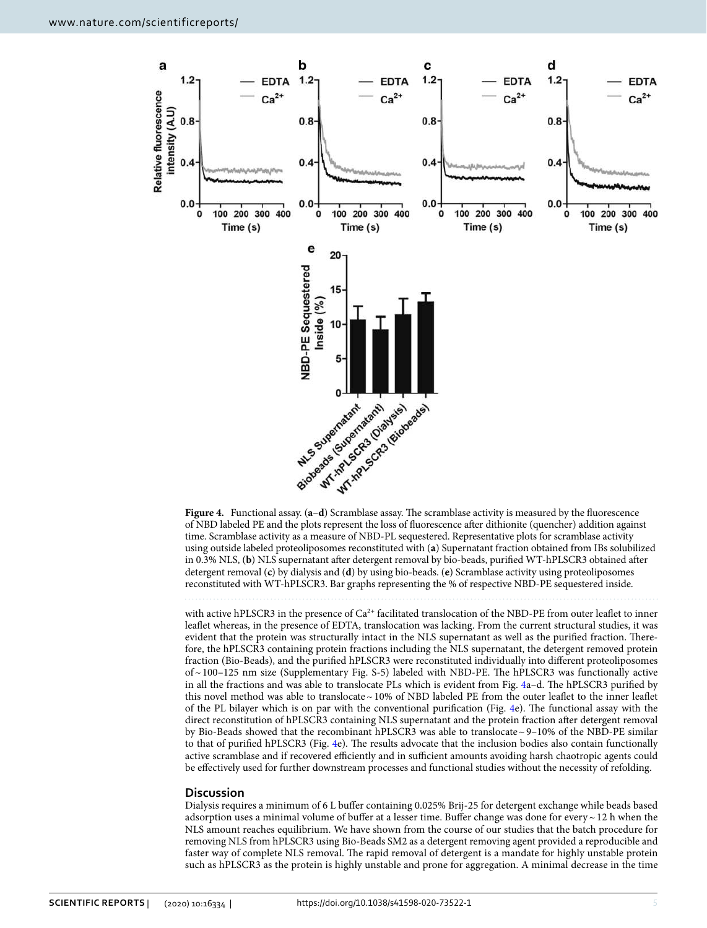

<span id="page-4-0"></span>of NBD labeled PE and the plots represent the loss of fluorescence after dithionite (quencher) addition against time. Scramblase activity as a measure of NBD-PL sequestered. Representative plots for scramblase activity using outside labeled proteoliposomes reconstituted with (**a**) Supernatant fraction obtained from IBs solubilized in 0.3% NLS, (**b**) NLS supernatant after detergent removal by bio-beads, purified WT-hPLSCR3 obtained after detergent removal (**c**) by dialysis and (**d**) by using bio-beads. (**e**) Scramblase activity using proteoliposomes reconstituted with WT-hPLSCR3. Bar graphs representing the % of respective NBD-PE sequestered inside.

with active hPLSCR3 in the presence of Ca<sup>2+</sup> facilitated translocation of the NBD-PE from outer leaflet to inner leaflet whereas, in the presence of EDTA, translocation was lacking. From the current structural studies, it was evident that the protein was structurally intact in the NLS supernatant as well as the purified fraction. Therefore, the hPLSCR3 containing protein fractions including the NLS supernatant, the detergent removed protein fraction (Bio-Beads), and the purified hPLSCR3 were reconstituted individually into different proteoliposomes of ~ 100–125 nm size (Supplementary Fig. S-5) labeled with NBD-PE. The hPLSCR3 was functionally active in all the fractions and was able to translocate PLs which is evident from Fig. [4](#page-4-0)a–d. The hPLSCR3 purified by this novel method was able to translocate ~ 10% of NBD labeled PE from the outer leaflet to the inner leaflet of the PL bilayer which is on par with the conventional purification (Fig. [4e](#page-4-0)). The functional assay with the direct reconstitution of hPLSCR3 containing NLS supernatant and the protein fraction after detergent removal by Bio-Beads showed that the recombinant hPLSCR3 was able to translocate ~ 9–10% of the NBD-PE similar to that of purified hPLSCR3 (Fig. [4](#page-4-0)e). The results advocate that the inclusion bodies also contain functionally active scramblase and if recovered efficiently and in sufficient amounts avoiding harsh chaotropic agents could be effectively used for further downstream processes and functional studies without the necessity of refolding.

#### **Discussion**

Dialysis requires a minimum of 6 L buffer containing 0.025% Brij-25 for detergent exchange while beads based adsorption uses a minimal volume of buffer at a lesser time. Buffer change was done for every ~ 12 h when the NLS amount reaches equilibrium. We have shown from the course of our studies that the batch procedure for removing NLS from hPLSCR3 using Bio-Beads SM2 as a detergent removing agent provided a reproducible and faster way of complete NLS removal. The rapid removal of detergent is a mandate for highly unstable protein such as hPLSCR3 as the protein is highly unstable and prone for aggregation. A minimal decrease in the time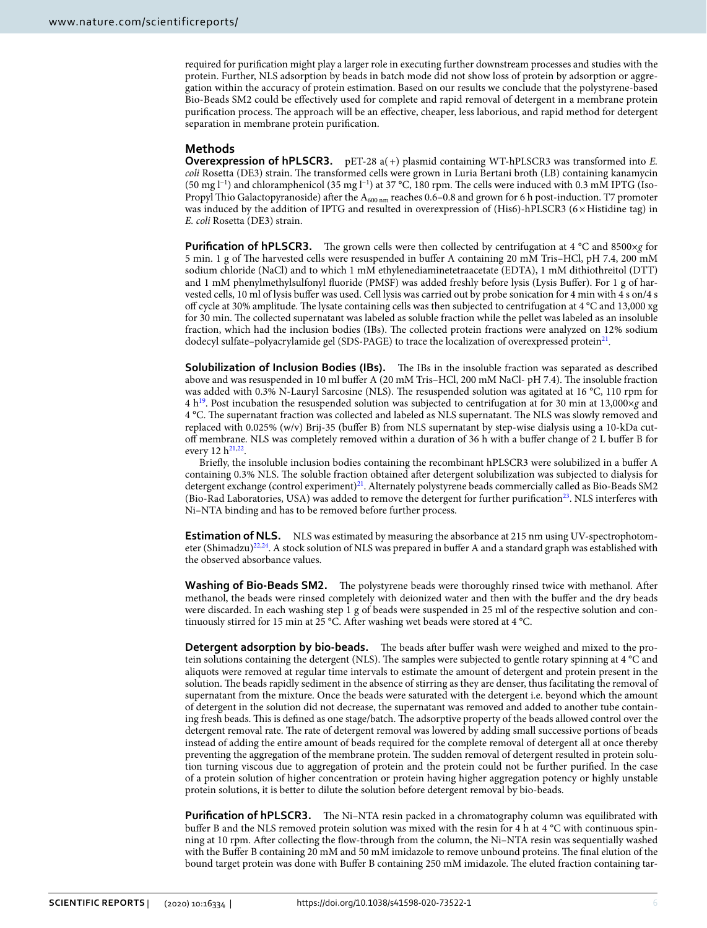required for purification might play a larger role in executing further downstream processes and studies with the protein. Further, NLS adsorption by beads in batch mode did not show loss of protein by adsorption or aggregation within the accuracy of protein estimation. Based on our results we conclude that the polystyrene-based Bio-Beads SM2 could be effectively used for complete and rapid removal of detergent in a membrane protein purification process. The approach will be an effective, cheaper, less laborious, and rapid method for detergent separation in membrane protein purification.

## **Methods**

**Overexpression of hPLSCR3.**  $pET-28$  a(+) plasmid containing WT-hPLSCR3 was transformed into E. coli Rosetta (DE3) strain. The transformed cells were grown in Luria Bertani broth (LB) containing kanamycin (50 mg l−1) and chloramphenicol (35 mg l−1) at 37 °C, 180 rpm. The cells were induced with 0.3 mM IPTG (Iso-Propyl Thio Galactopyranoside) after the A<sub>600 nm</sub> reaches 0.6–0.8 and grown for 6 h post-induction. T7 promoter was induced by the addition of IPTG and resulted in overexpression of (His6)-hPLSCR3 (6×Histidine tag) in E. coli Rosetta (DE3) strain.

**Purification of hPLSCR3.** The grown cells were then collected by centrifugation at 4 °C and 8500×g for 5 min. 1 g of The harvested cells were resuspended in buffer A containing 20 mM Tris–HCl, pH 7.4, 200 mM sodium chloride (NaCl) and to which 1 mM ethylenediaminetetraacetate (EDTA), 1 mM dithiothreitol (DTT) and 1 mM phenylmethylsulfonyl fluoride (PMSF) was added freshly before lysis (Lysis Buffer). For 1 g of harvested cells, 10 ml of lysis buffer was used. Cell lysis was carried out by probe sonication for 4 min with 4 s on/4 s off cycle at 30% amplitude. The lysate containing cells was then subjected to centrifugation at 4 °C and 13,000 xg for 30 min. The collected supernatant was labeled as soluble fraction while the pellet was labeled as an insoluble fraction, which had the inclusion bodies (IBs). The collected protein fractions were analyzed on 12% sodium dodecyl sulfate–polyacrylamide gel (SDS-PAGE) to trace the localization of overexpressed protein $^{21}$  $^{21}$  $^{21}$ .

**Solubilization of Inclusion Bodies (IBs).** The IBs in the insoluble fraction was separated as described above and was resuspended in 10 ml buffer A (20 mM Tris–HCl, 200 mM NaCl- pH 7.4). The insoluble fraction was added with 0.3% N-Lauryl Sarcosine (NLS). The resuspended solution was agitated at 16 °C, 110 rpm for 4 h[19](#page-7-12). Post incubation the resuspended solution was subjected to centrifugation at for 30 min at 13,000×g and 4 °C. The supernatant fraction was collected and labeled as NLS supernatant. The NLS was slowly removed and replaced with 0.025% (w/v) Brij-35 (buffer B) from NLS supernatant by step-wise dialysis using a 10-kDa cutoff membrane. NLS was completely removed within a duration of 36 h with a buffer change of 2 L buffer B for every 12  $h^{21,22}$  $h^{21,22}$  $h^{21,22}$  $h^{21,22}$ .

Briefly, the insoluble inclusion bodies containing the recombinant hPLSCR3 were solubilized in a buffer A containing 0.3% NLS. The soluble fraction obtained after detergent solubilization was subjected to dialysis for detergent exchange (control experiment)<sup>[21](#page-7-14)</sup>. Alternately polystyrene beads commercially called as Bio-Beads SM2 (Bio-Rad Laboratories, USA) was added to remove the detergent for further purification[23](#page-7-16). NLS interferes with Ni–NTA binding and has to be removed before further process.

**Estimation of NLS.** NLS was estimated by measuring the absorbance at 215 nm using UV-spectrophotom-eter (Shimadzu)<sup>[22](#page-7-15),[24](#page-7-17)</sup>. A stock solution of NLS was prepared in buffer A and a standard graph was established with the observed absorbance values.

**Washing of Bio-Beads SM2.**  The polystyrene beads were thoroughly rinsed twice with methanol. After methanol, the beads were rinsed completely with deionized water and then with the buffer and the dry beads were discarded. In each washing step 1 g of beads were suspended in 25 ml of the respective solution and continuously stirred for 15 min at 25 °C. After washing wet beads were stored at 4 °C.

**Detergent adsorption by bio-beads.**  The beads after buffer wash were weighed and mixed to the protein solutions containing the detergent (NLS). The samples were subjected to gentle rotary spinning at 4 °C and aliquots were removed at regular time intervals to estimate the amount of detergent and protein present in the solution. The beads rapidly sediment in the absence of stirring as they are denser, thus facilitating the removal of supernatant from the mixture. Once the beads were saturated with the detergent i.e. beyond which the amount of detergent in the solution did not decrease, the supernatant was removed and added to another tube containing fresh beads. This is defined as one stage/batch. The adsorptive property of the beads allowed control over the detergent removal rate. The rate of detergent removal was lowered by adding small successive portions of beads instead of adding the entire amount of beads required for the complete removal of detergent all at once thereby preventing the aggregation of the membrane protein. The sudden removal of detergent resulted in protein solution turning viscous due to aggregation of protein and the protein could not be further purified. In the case of a protein solution of higher concentration or protein having higher aggregation potency or highly unstable protein solutions, it is better to dilute the solution before detergent removal by bio-beads.

**Purification of hPLSCR3.** The Ni–NTA resin packed in a chromatography column was equilibrated with buffer B and the NLS removed protein solution was mixed with the resin for 4 h at 4 °C with continuous spinning at 10 rpm. After collecting the flow-through from the column, the Ni–NTA resin was sequentially washed with the Buffer B containing 20 mM and 50 mM imidazole to remove unbound proteins. The final elution of the bound target protein was done with Buffer B containing 250 mM imidazole. The eluted fraction containing tar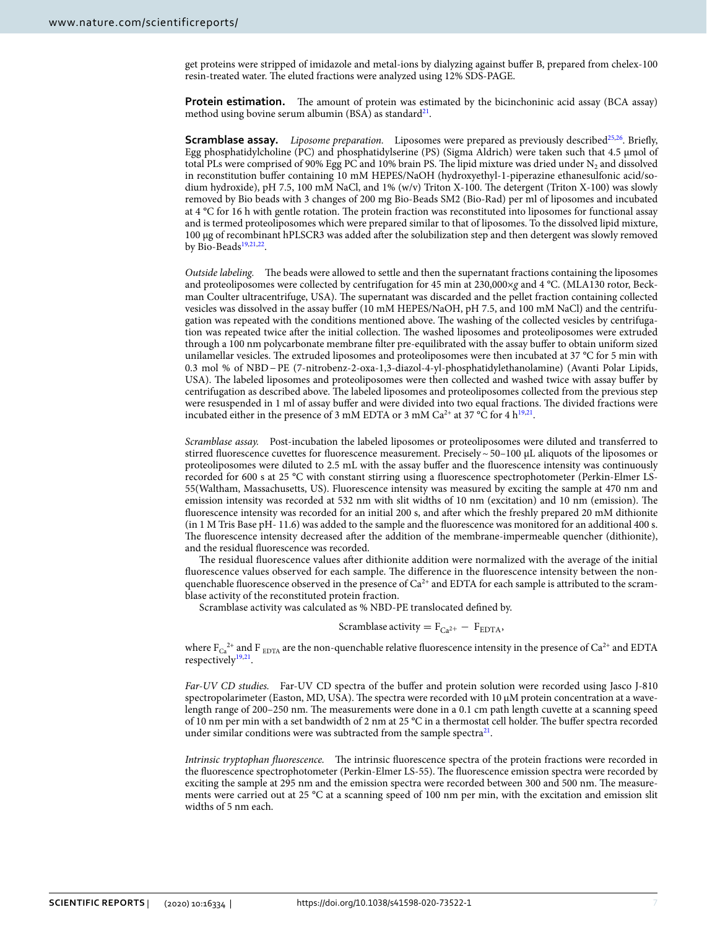get proteins were stripped of imidazole and metal-ions by dialyzing against buffer B, prepared from chelex-100 resin-treated water. The eluted fractions were analyzed using 12% SDS-PAGE.

**Protein estimation.** The amount of protein was estimated by the bicinchoninic acid assay (BCA assay) method using bovine serum albumin (BSA) as standard<sup>[21](#page-7-14)</sup>.

**Scramblase assay.** Liposome preparation. Liposomes were prepared as previously described<sup>[25,](#page-7-18)[26](#page-7-19)</sup>. Briefly, Egg phosphatidylcholine (PC) and phosphatidylserine (PS) (Sigma Aldrich) were taken such that 4.5 μmol of total PLs were comprised of 90% Egg PC and 10% brain PS. The lipid mixture was dried under  $\mathrm{N}_2$  and dissolved in reconstitution buffer containing 10 mM HEPES/NaOH (hydroxyethyl-1-piperazine ethanesulfonic acid/sodium hydroxide), pH 7.5, 100 mM NaCl, and 1% (w/v) Triton X-100. The detergent (Triton X-100) was slowly removed by Bio beads with 3 changes of 200 mg Bio-Beads SM2 (Bio-Rad) per ml of liposomes and incubated at 4 °C for 16 h with gentle rotation. The protein fraction was reconstituted into liposomes for functional assay and is termed proteoliposomes which were prepared similar to that of liposomes. To the dissolved lipid mixture, 100 µg of recombinant hPLSCR3 was added after the solubilization step and then detergent was slowly removed by Bio-Beads<sup>[19](#page-7-12)[,21,](#page-7-14)[22](#page-7-15)</sup>.

Outside labeling. The beads were allowed to settle and then the supernatant fractions containing the liposomes and proteoliposomes were collected by centrifugation for 45 min at 230,000×g and 4 °C. (MLA130 rotor, Beckman Coulter ultracentrifuge, USA). The supernatant was discarded and the pellet fraction containing collected vesicles was dissolved in the assay buffer (10 mM HEPES/NaOH, pH 7.5, and 100 mM NaCl) and the centrifugation was repeated with the conditions mentioned above. The washing of the collected vesicles by centrifugation was repeated twice after the initial collection. The washed liposomes and proteoliposomes were extruded through a 100 nm polycarbonate membrane filter pre-equilibrated with the assay buffer to obtain uniform sized unilamellar vesicles. The extruded liposomes and proteoliposomes were then incubated at 37 °C for 5 min with 0.3 mol % of NBD − PE (7-nitrobenz-2-oxa-1,3-diazol-4-yl-phosphatidylethanolamine) (Avanti Polar Lipids, USA). The labeled liposomes and proteoliposomes were then collected and washed twice with assay buffer by centrifugation as described above. The labeled liposomes and proteoliposomes collected from the previous step were resuspended in 1 ml of assay buffer and were divided into two equal fractions. The divided fractions were incubated either in the presence of 3 mM EDTA or 3 mM  $Ca^{2+}$  at 37 °C for 4  $h^{19,21}$  $h^{19,21}$  $h^{19,21}$  $h^{19,21}$ .

Scramblase assay. Post-incubation the labeled liposomes or proteoliposomes were diluted and transferred to stirred fluorescence cuvettes for fluorescence measurement. Precisely ~ 50-100 µL aliquots of the liposomes or proteoliposomes were diluted to 2.5 mL with the assay buffer and the fluorescence intensity was continuously recorded for 600 s at 25 °C with constant stirring using a fluorescence spectrophotometer (Perkin-Elmer LS-55(Waltham, Massachusetts, US). Fluorescence intensity was measured by exciting the sample at 470 nm and emission intensity was recorded at 532 nm with slit widths of 10 nm (excitation) and 10 nm (emission). The fluorescence intensity was recorded for an initial 200 s, and after which the freshly prepared 20 mM dithionite (in 1 M Tris Base pH- 11.6) was added to the sample and the fluorescence was monitored for an additional 400 s. The fluorescence intensity decreased after the addition of the membrane-impermeable quencher (dithionite), and the residual fluorescence was recorded.

The residual fluorescence values after dithionite addition were normalized with the average of the initial fluorescence values observed for each sample. The difference in the fluorescence intensity between the nonquenchable fluorescence observed in the presence of  $Ca<sup>2+</sup>$  and EDTA for each sample is attributed to the scramblase activity of the reconstituted protein fraction.

Scramblase activity was calculated as % NBD-PE translocated defined by.

## Scramblase activity =  $F_{Ca^{2+}} - F_{EDTA}$ ,

where  $F_{Ca}^{2+}$  and F<sub>EDTA</sub> are the non-quenchable relative fluorescence intensity in the presence of  $Ca^{2+}$  and EDTA respectively<sup>[19](#page-7-12),[21](#page-7-14)</sup>.

Far-UV CD studies. Far-UV CD spectra of the buffer and protein solution were recorded using Jasco J-810 spectropolarimeter (Easton, MD, USA). The spectra were recorded with 10 μM protein concentration at a wavelength range of 200–250 nm. The measurements were done in a 0.1 cm path length cuvette at a scanning speed of 10 nm per min with a set bandwidth of 2 nm at 25 °C in a thermostat cell holder. The buffer spectra recorded under similar conditions were was subtracted from the sample spectra<sup>[21](#page-7-14)</sup>.

Intrinsic tryptophan fluorescence. The intrinsic fluorescence spectra of the protein fractions were recorded in the fluorescence spectrophotometer (Perkin-Elmer LS-55). The fluorescence emission spectra were recorded by exciting the sample at 295 nm and the emission spectra were recorded between 300 and 500 nm. The measurements were carried out at 25 °C at a scanning speed of 100 nm per min, with the excitation and emission slit widths of 5 nm each.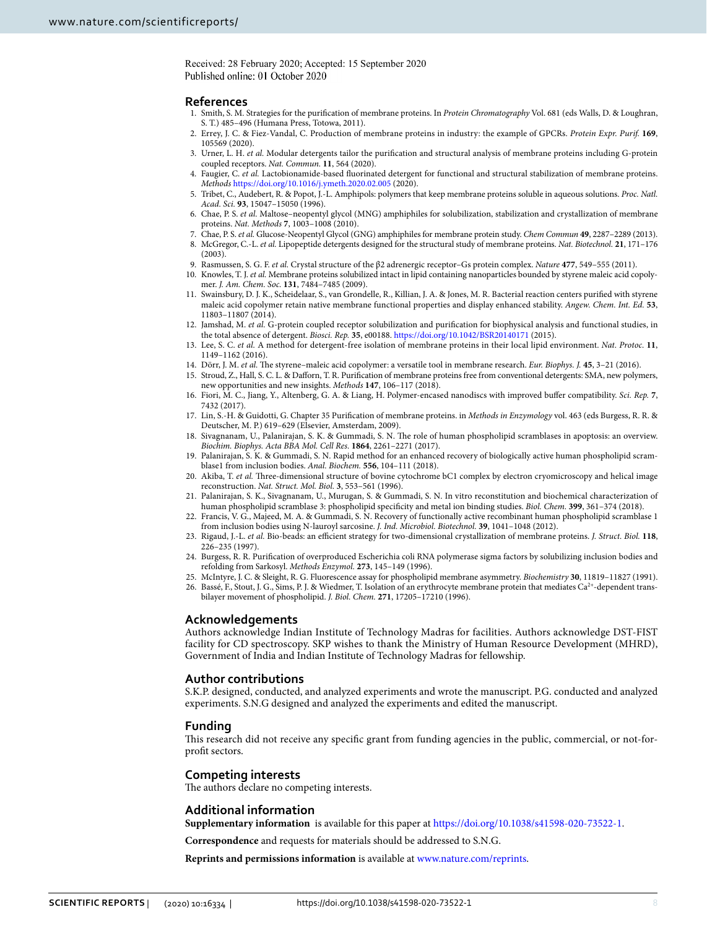Received: 28 February 2020; Accepted: 15 September 2020 Published online: 01 October 2020

### **References**

- <span id="page-7-0"></span> 1. Smith, S. M. Strategies for the purification of membrane proteins. In Protein Chromatography Vol. 681 (eds Walls, D. & Loughran, S. T.) 485–496 (Humana Press, Totowa, 2011).
- <span id="page-7-1"></span> 2. Errey, J. C. & Fiez-Vandal, C. Production of membrane proteins in industry: the example of GPCRs. Protein Expr. Purif. **169**, 105569 (2020).
- <span id="page-7-2"></span>3. Urner, L. H. et al. Modular detergents tailor the purification and structural analysis of membrane proteins including G-protein coupled receptors. Nat. Commun. **11**, 564 (2020).
- <span id="page-7-3"></span>4. Faugier, C. et al. Lactobionamide-based fluorinated detergent for functional and structural stabilization of membrane proteins. Methods [https ://doi.org/10.1016/j.ymeth .2020.02.005](https://doi.org/10.1016/j.ymeth.2020.02.005) (2020).
- <span id="page-7-4"></span> 5. Tribet, C., Audebert, R. & Popot, J.-L. Amphipols: polymers that keep membrane proteins soluble in aqueous solutions. Proc. Natl. Acad. Sci. **93**, 15047–15050 (1996).
- 6. Chae, P. S. et al. Maltose-neopentyl glycol (MNG) amphiphiles for solubilization, stabilization and crystallization of membrane proteins. Nat. Methods **7**, 1003–1008 (2010).
- 7. Chae, P. S. et al. Glucose-Neopentyl Glycol (GNG) amphiphiles for membrane protein study. Chem Commun **49**, 2287–2289 (2013). 8. McGregor, C.-L. et al. Lipopeptide detergents designed for the structural study of membrane proteins. Nat. Biotechnol. **21**, 171–176 (2003).
- <span id="page-7-5"></span>9. Rasmussen, S. G. F. et al. Crystal structure of the β2 adrenergic receptor–Gs protein complex. Nature **477**, 549–555 (2011).
- <span id="page-7-6"></span>10. Knowles, T. J. et al. Membrane proteins solubilized intact in lipid containing nanoparticles bounded by styrene maleic acid copolymer. J. Am. Chem. Soc. **131**, 7484–7485 (2009).
- 11. Swainsbury, D. J. K., Scheidelaar, S., van Grondelle, R., Killian, J. A. & Jones, M. R. Bacterial reaction centers purified with styrene maleic acid copolymer retain native membrane functional properties and display enhanced stability. Angew. Chem. Int. Ed. **53**, 11803–11807 (2014).
- 12. Jamshad, M. et al. G-protein coupled receptor solubilization and purification for biophysical analysis and functional studies, in the total absence of detergent. Biosci. Rep. **35**, e00188. [https ://doi.org/10.1042/BSR20 14017 1](https://doi.org/10.1042/BSR20140171) (2015).
- 13. Lee, S. C. et al. A method for detergent-free isolation of membrane proteins in their local lipid environment. Nat. Protoc. **11**, 1149–1162 (2016).
- <span id="page-7-8"></span>14. Dörr, J. M. et al. The styrene–maleic acid copolymer: a versatile tool in membrane research. Eur. Biophys. J. **45**, 3–21 (2016).
- <span id="page-7-7"></span> 15. Stroud, Z., Hall, S. C. L. & Dafforn, T. R. Purification of membrane proteins free from conventional detergents: SMA, new polymers, new opportunities and new insights. Methods **147**, 106–117 (2018).
- <span id="page-7-9"></span> 16. Fiori, M. C., Jiang, Y., Altenberg, G. A. & Liang, H. Polymer-encased nanodiscs with improved buffer compatibility. Sci. Rep. **7**, 7432 (2017).
- <span id="page-7-10"></span>17. Lin, S.-H. & Guidotti, G. Chapter 35 Purification of membrane proteins. in Methods in Enzymology vol. 463 (eds Burgess, R. R. & Deutscher, M. P.) 619–629 (Elsevier, Amsterdam, 2009).
- <span id="page-7-11"></span> 18. Sivagnanam, U., Palanirajan, S. K. & Gummadi, S. N. The role of human phospholipid scramblases in apoptosis: an overview. Biochim. Biophys. Acta BBA Mol. Cell Res. **1864**, 2261–2271 (2017).
- <span id="page-7-12"></span> 19. Palanirajan, S. K. & Gummadi, S. N. Rapid method for an enhanced recovery of biologically active human phospholipid scramblase1 from inclusion bodies. Anal. Biochem. **556**, 104–111 (2018).
- <span id="page-7-13"></span>20. Akiba, T. et al. Three-dimensional structure of bovine cytochrome bC1 complex by electron cryomicroscopy and helical image reconstruction. Nat. Struct. Mol. Biol. **3**, 553–561 (1996).
- <span id="page-7-14"></span> 21. Palanirajan, S. K., Sivagnanam, U., Murugan, S. & Gummadi, S. N. In vitro reconstitution and biochemical characterization of human phospholipid scramblase 3: phospholipid specificity and metal ion binding studies. Biol. Chem. **399**, 361–374 (2018).
- <span id="page-7-15"></span> 22. Francis, V. G., Majeed, M. A. & Gummadi, S. N. Recovery of functionally active recombinant human phospholipid scramblase 1 from inclusion bodies using N-lauroyl sarcosine. J. Ind. Microbiol. Biotechnol. **39**, 1041–1048 (2012).
- <span id="page-7-16"></span> 23. Rigaud, J.-L. et al. Bio-beads: an efficient strategy for two-dimensional crystallization of membrane proteins. J. Struct. Biol. **118**, 226–235 (1997).
- <span id="page-7-17"></span> 24. Burgess, R. R. Purification of overproduced Escherichia coli RNA polymerase sigma factors by solubilizing inclusion bodies and refolding from Sarkosyl. Methods Enzymol. **273**, 145–149 (1996).
- <span id="page-7-19"></span><span id="page-7-18"></span> 25. McIntyre, J. C. & Sleight, R. G. Fluorescence assay for phospholipid membrane asymmetry. Biochemistry **30**, 11819–11827 (1991). 26. Bassé, F., Stout, J. G., Sims, P. J. & Wiedmer, T. Isolation of an erythrocyte membrane protein that mediates Ca2+-dependent trans-
- bilayer movement of phospholipid. J. Biol. Chem. **271**, 17205–17210 (1996).

#### **Acknowledgements**

Authors acknowledge Indian Institute of Technology Madras for facilities. Authors acknowledge DST-FIST facility for CD spectroscopy. SKP wishes to thank the Ministry of Human Resource Development (MHRD), Government of India and Indian Institute of Technology Madras for fellowship.

### **Author contributions**

S.K.P. designed, conducted, and analyzed experiments and wrote the manuscript. P.G. conducted and analyzed experiments. S.N.G designed and analyzed the experiments and edited the manuscript.

#### **Funding**

This research did not receive any specific grant from funding agencies in the public, commercial, or not-forprofit sectors.

#### **Competing interests**

The authors declare no competing interests.

#### **Additional information**

**Supplementary information** is available for this paper at https://doi.org/10.1038/s41598-020-73522-1.

**Correspondence** and requests for materials should be addressed to S.N.G.

**Reprints and permissions information** is available at [www.nature.com/reprints.](www.nature.com/reprints)